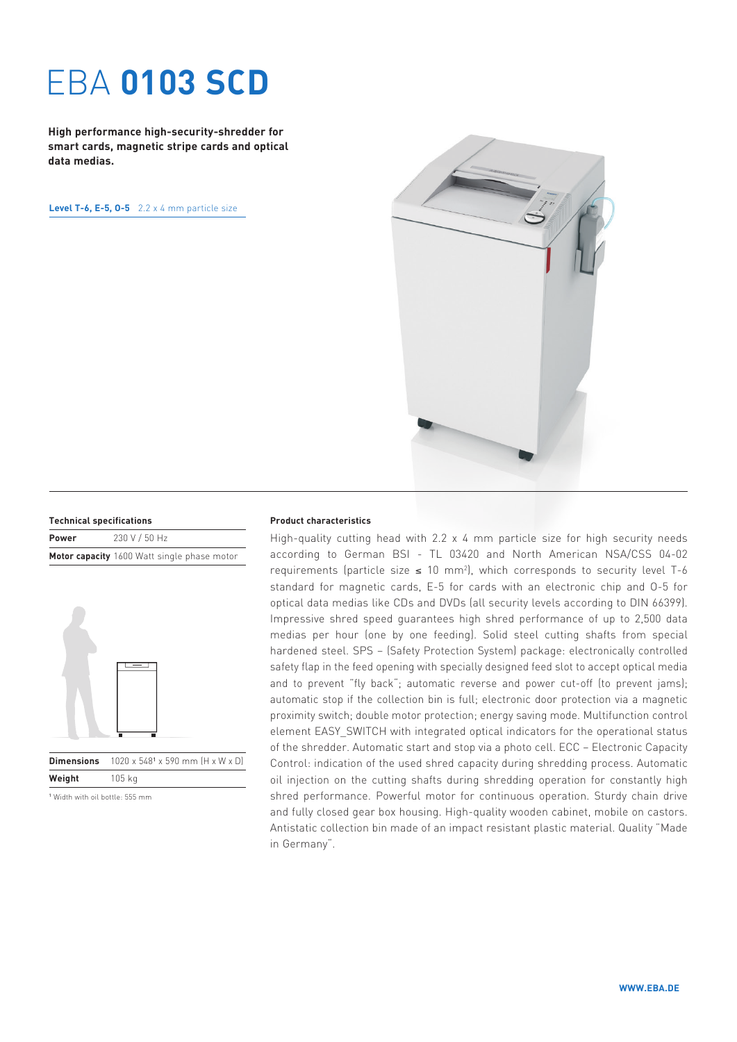# EBA **0103 SCD**

**High performance high-security-shredder for smart cards, magnetic stripe cards and optical data medias.**

**Level T-6, E-5, O-5** 2.2 x 4 mm particle size



| <b>Technical specifications</b> |               |
|---------------------------------|---------------|
| $P_{\text{max}}$                | $2201115011-$ |

| <b>Power</b> | 230 V / 50 Hz                               |
|--------------|---------------------------------------------|
|              | Motor capacity 1600 Watt single phase motor |



**Dimensions**  $1020 \times 548^1 \times 590$  mm  $(H \times W \times D)$ **Weight** 105 kg

#### **Product characteristics**

High-quality cutting head with  $2.2 \times 4$  mm particle size for high security needs according to German BSI - TL 03420 and North American NSA/CSS 04-02 requirements (particle size  $\leq$  10 mm<sup>2</sup>), which corresponds to security level T-6 standard for magnetic cards, E-5 for cards with an electronic chip and O-5 for optical data medias like CDs and DVDs (all security levels according to DIN 66399). Impressive shred speed guarantees high shred performance of up to 2,500 data medias per hour (one by one feeding). Solid steel cutting shafts from special hardened steel. SPS – (Safety Protection System) package: electronically controlled safety flap in the feed opening with specially designed feed slot to accept optical media and to prevent "fly back"; automatic reverse and power cut-off (to prevent jams); automatic stop if the collection bin is full; electronic door protection via a magnetic proximity switch; double motor protection; energy saving mode. Multifunction control element EASY\_SWITCH with integrated optical indicators for the operational status of the shredder. Automatic start and stop via a photo cell. ECC – Electronic Capacity Control: indication of the used shred capacity during shredding process. Automatic oil injection on the cutting shafts during shredding operation for constantly high shred performance. Powerful motor for continuous operation. Sturdy chain drive and fully closed gear box housing. High-quality wooden cabinet, mobile on castors. Antistatic collection bin made of an impact resistant plastic material. Quality "Made in Germany".

<sup>1</sup> Width with oil bottle: 555 mm